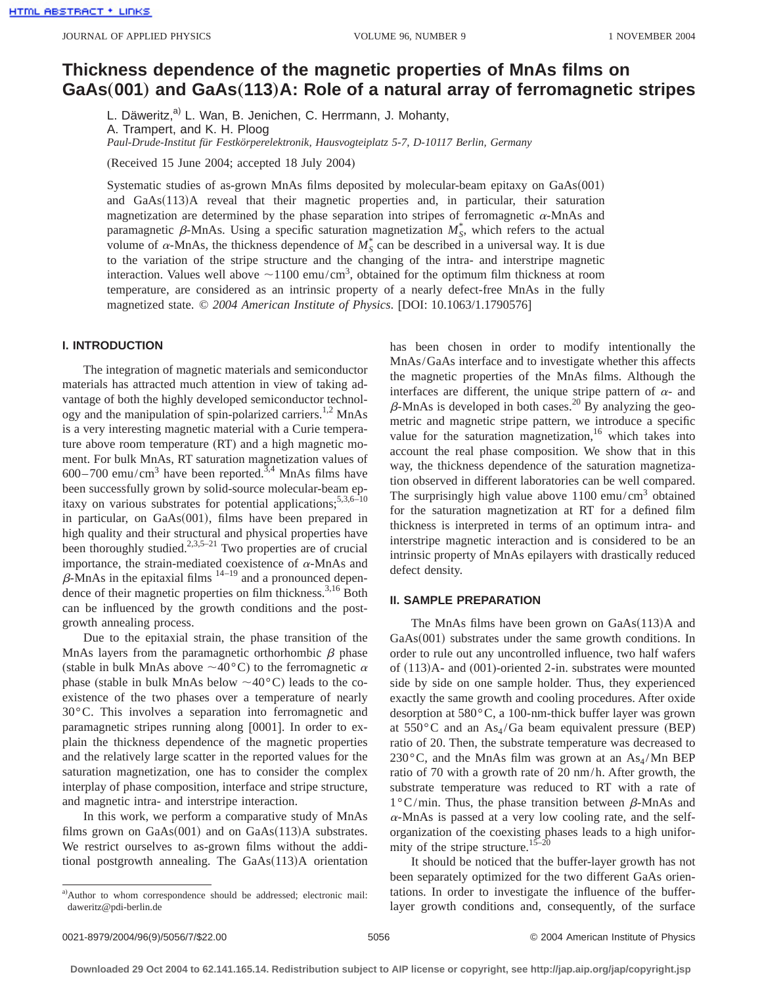# **Thickness dependence of the magnetic properties of MnAs films on GaAs**"**001**… **and GaAs**"**113**…**A: Role of a natural array of ferromagnetic stripes**

L. Däweritz,<sup>a)</sup> L. Wan, B. Jenichen, C. Herrmann, J. Mohanty, A. Trampert, and K. H. Ploog *Paul-Drude-Institut für Festkörperelektronik, Hausvogteiplatz 5-7, D-10117 Berlin, Germany*

(Received 15 June 2004; accepted 18 July 2004)

Systematic studies of as-grown MnAs films deposited by molecular-beam epitaxy on  $GaAs(001)$ and GaAs(113)A reveal that their magnetic properties and, in particular, their saturation magnetization are determined by the phase separation into stripes of ferromagnetic  $\alpha$ -MnAs and paramagnetic  $\beta$ -MnAs. Using a specific saturation magnetization  $M_S^*$ , which refers to the actual volume of  $\alpha$ -MnAs, the thickness dependence of  $M_S^*$  can be described in a universal way. It is due to the variation of the stripe structure and the changing of the intra- and interstripe magnetic interaction. Values well above  $\sim$ 1100 emu/cm<sup>3</sup>, obtained for the optimum film thickness at room temperature, are considered as an intrinsic property of a nearly defect-free MnAs in the fully magnetized state. © *2004 American Institute of Physics*. [DOI: 10.1063/1.1790576]

# **I. INTRODUCTION**

The integration of magnetic materials and semiconductor materials has attracted much attention in view of taking advantage of both the highly developed semiconductor technology and the manipulation of spin-polarized carriers.<sup>1,2</sup> MnAs is a very interesting magnetic material with a Curie temperature above room temperature (RT) and a high magnetic moment. For bulk MnAs, RT saturation magnetization values of  $600-700$  emu/cm<sup>3</sup> have been reported.<sup>3,4</sup> MnAs films have been successfully grown by solid-source molecular-beam epitaxy on various substrates for potential applications;<sup>5,3,6-10</sup> in particular, on  $GaAs(001)$ , films have been prepared in high quality and their structural and physical properties have been thoroughly studied. $2,3,5-21$  Two properties are of crucial importance, the strain-mediated coexistence of  $\alpha$ -MnAs and  $\beta$ -MnAs in the epitaxial films  $\beta$ <sup>14–19</sup> and a pronounced dependence of their magnetic properties on film thickness.<sup>3,16</sup> Both can be influenced by the growth conditions and the postgrowth annealing process.

Due to the epitaxial strain, the phase transition of the MnAs layers from the paramagnetic orthorhombic  $\beta$  phase (stable in bulk MnAs above  $\sim$  40°C) to the ferromagnetic  $\alpha$ phase (stable in bulk MnAs below  $\sim$ 40°C) leads to the coexistence of the two phases over a temperature of nearly 30°C. This involves a separation into ferromagnetic and paramagnetic stripes running along [0001]. In order to explain the thickness dependence of the magnetic properties and the relatively large scatter in the reported values for the saturation magnetization, one has to consider the complex interplay of phase composition, interface and stripe structure, and magnetic intra- and interstripe interaction.

In this work, we perform a comparative study of MnAs films grown on  $GaAs(001)$  and on  $GaAs(113)$ A substrates. We restrict ourselves to as-grown films without the additional postgrowth annealing. The  $GaAs(113)A$  orientation has been chosen in order to modify intentionally the MnAs/GaAs interface and to investigate whether this affects the magnetic properties of the MnAs films. Although the interfaces are different, the unique stripe pattern of  $\alpha$ - and  $\beta$ -MnAs is developed in both cases.<sup>20</sup> By analyzing the geometric and magnetic stripe pattern, we introduce a specific value for the saturation magnetization,  $16$  which takes into account the real phase composition. We show that in this way, the thickness dependence of the saturation magnetization observed in different laboratories can be well compared. The surprisingly high value above  $1100 \text{ emu/cm}^3$  obtained for the saturation magnetization at RT for a defined film thickness is interpreted in terms of an optimum intra- and interstripe magnetic interaction and is considered to be an intrinsic property of MnAs epilayers with drastically reduced defect density.

#### **II. SAMPLE PREPARATION**

The MnAs films have been grown on  $GaAs(113)A$  and  $GaAs(001)$  substrates under the same growth conditions. In order to rule out any uncontrolled influence, two half wafers of  $(113)$ A- and  $(001)$ -oriented 2-in. substrates were mounted side by side on one sample holder. Thus, they experienced exactly the same growth and cooling procedures. After oxide desorption at 580°C, a 100-nm-thick buffer layer was grown at  $550^{\circ}$ C and an As<sub>4</sub>/Ga beam equivalent pressure (BEP) ratio of 20. Then, the substrate temperature was decreased to 230 $\degree$ C, and the MnAs film was grown at an As<sub>4</sub>/Mn BEP ratio of 70 with a growth rate of 20 nm/h. After growth, the substrate temperature was reduced to RT with a rate of  $1^{\circ}$ C/min. Thus, the phase transition between  $\beta$ -MnAs and  $\alpha$ -MnAs is passed at a very low cooling rate, and the selforganization of the coexisting phases leads to a high uniformity of the stripe structure.<sup>15–20</sup>

It should be noticed that the buffer-layer growth has not been separately optimized for the two different GaAs orientations. In order to investigate the influence of the bufferlayer growth conditions and, consequently, of the surface

a)Author to whom correspondence should be addressed; electronic mail: daweritz@pdi-berlin.de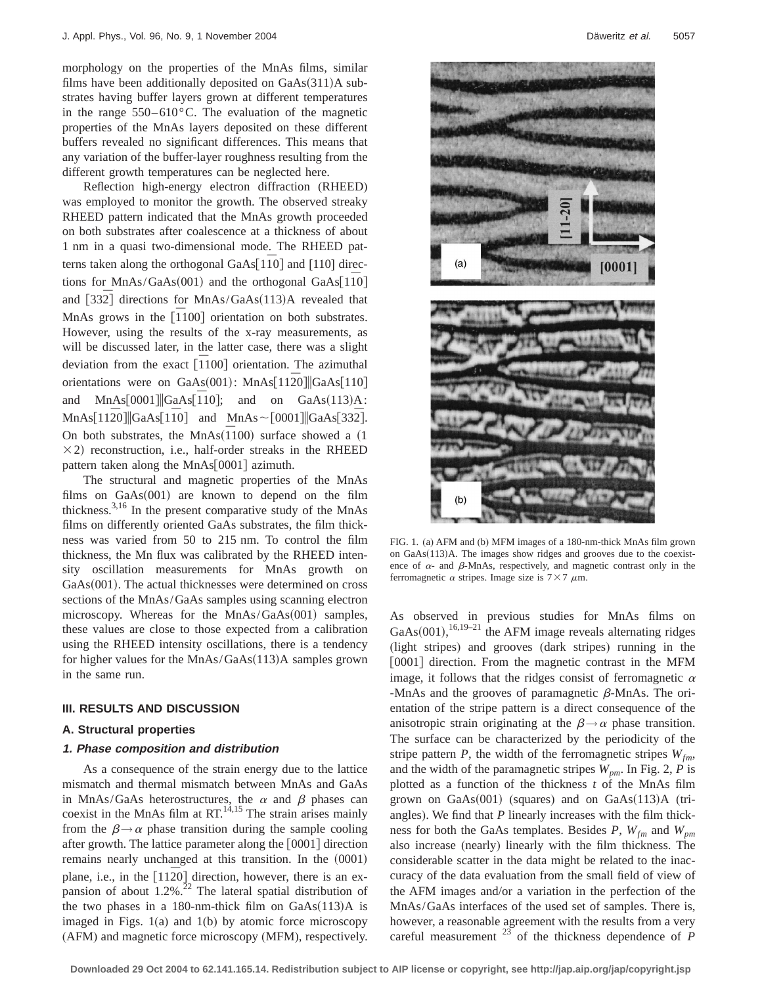morphology on the properties of the MnAs films, similar films have been additionally deposited on  $GaAs(311)A$  substrates having buffer layers grown at different temperatures in the range  $550-610^{\circ}$ C. The evaluation of the magnetic properties of the MnAs layers deposited on these different buffers revealed no significant differences. This means that any variation of the buffer-layer roughness resulting from the different growth temperatures can be neglected here.

Reflection high-energy electron diffraction (RHEED) was employed to monitor the growth. The observed streaky RHEED pattern indicated that the MnAs growth proceeded on both substrates after coalescence at a thickness of about 1 nm in a quasi two-dimensional mode. The RHEED patterns taken along the orthogonal GaAs[1<sup> $\overline{10}$ ] and [110] direc-</sup> tions for MnAs/GaAs(001) and the orthogonal GaAs $\overline{110}$ and  $\left[33\overline{2}\right]$  directions for MnAs/GaAs $(113)$ A revealed that MnAs grows in the  $\left[1100\right]$  orientation on both substrates. However, using the results of the x-ray measurements, as will be discussed later, in the latter case, there was a slight  $\frac{1}{\pi}$  deviation from the exact  $\left[\overline{1}100\right]$  orientation. The azimuthal orientations were on GaAs(001): MnAs[112<sup>o]</sup>||GaAs[110] and  $MnAs[0001] |GaAs[\overline{1}10]$ ; and on  $GaAs(113)A$ : and MnAs[0001]||GaAs[110]; and on GaAs(113)A:<br>MnAs[1120]||GaAs[110] and MnAs ~ [0001]||GaAs[332]. On both substrates, the  $MnAs(\overline{1}100)$  surface showed a (1)  $\times$ 2) reconstruction, i.e., half-order streaks in the RHEED pattern taken along the  $MnAs[0001]$  azimuth.

The structural and magnetic properties of the MnAs films on  $GaAs(001)$  are known to depend on the film thickness.3,16 In the present comparative study of the MnAs films on differently oriented GaAs substrates, the film thickness was varied from 50 to 215 nm. To control the film thickness, the Mn flux was calibrated by the RHEED intensity oscillation measurements for MnAs growth on  $GaAs(001)$ . The actual thicknesses were determined on cross sections of the MnAs/GaAs samples using scanning electron microscopy. Whereas for the  $MnAs/GaAs(001)$  samples, these values are close to those expected from a calibration using the RHEED intensity oscillations, there is a tendency for higher values for the  $MnAs/GaAs(113)A$  samples grown in the same run.

#### **III. RESULTS AND DISCUSSION**

# **A. Structural properties**

# **1. Phase composition and distribution**

As a consequence of the strain energy due to the lattice mismatch and thermal mismatch between MnAs and GaAs in MnAs/GaAs heterostructures, the  $\alpha$  and  $\beta$  phases can coexist in the MnAs film at  $RT^{14,15}$ . The strain arises mainly from the  $\beta \rightarrow \alpha$  phase transition during the sample cooling after growth. The lattice parameter along the  $[0001]$  direction remains nearly unchanged at this transition. In the  $(0001)$ plane, i.e., in the  $[11\overline{2}0]$  direction, however, there is an expansion of about  $1.2\%$ .<sup>22</sup> The lateral spatial distribution of the two phases in a 180-nm-thick film on  $GaAs(113)A$  is imaged in Figs. 1(a) and 1(b) by atomic force microscopy (AFM) and magnetic force microscopy (MFM), respectively.



FIG. 1. (a) AFM and (b) MFM images of a 180-nm-thick MnAs film grown on  $GaAs(113)A$ . The images show ridges and grooves due to the coexistence of  $\alpha$ - and  $\beta$ -MnAs, respectively, and magnetic contrast only in the ferromagnetic  $\alpha$  stripes. Image size is  $7\times7 \mu m$ .

As observed in previous studies for MnAs films on GaAs $(001)$ , <sup>16,19–21</sup> the AFM image reveals alternating ridges (light stripes) and grooves (dark stripes) running in the [0001] direction. From the magnetic contrast in the MFM image, it follows that the ridges consist of ferromagnetic  $\alpha$ -MnAs and the grooves of paramagnetic  $\beta$ -MnAs. The orientation of the stripe pattern is a direct consequence of the anisotropic strain originating at the  $\beta \rightarrow \alpha$  phase transition. The surface can be characterized by the periodicity of the stripe pattern *P*, the width of the ferromagnetic stripes  $W_{fm}$ , and the width of the paramagnetic stripes  $W_{pm}$ . In Fig. 2, P is plotted as a function of the thickness *t* of the MnAs film grown on  $GaAs(001)$  (squares) and on  $GaAs(113)A$  (triangles). We find that *P* linearly increases with the film thickness for both the GaAs templates. Besides *P*,  $W_{fm}$  and  $W_{pm}$ also increase (nearly) linearly with the film thickness. The considerable scatter in the data might be related to the inaccuracy of the data evaluation from the small field of view of the AFM images and/or a variation in the perfection of the MnAs/GaAs interfaces of the used set of samples. There is, however, a reasonable agreement with the results from a very careful measurement  $^{23}$  of the thickness dependence of *P*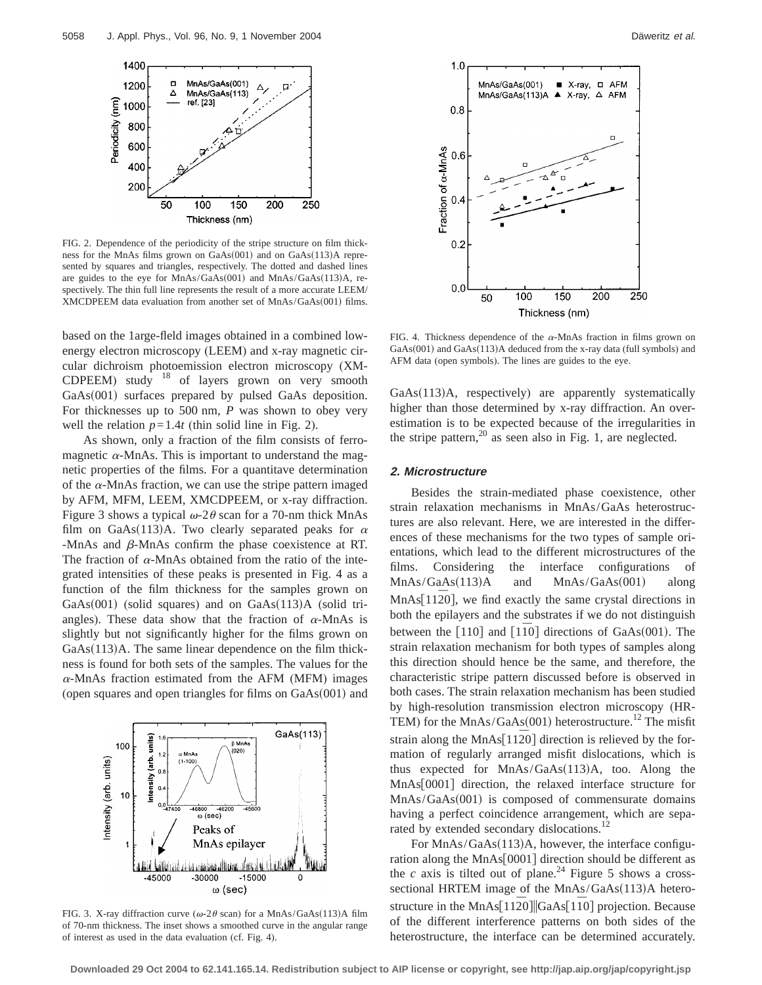

FIG. 2. Dependence of the periodicity of the stripe structure on film thickness for the MnAs films grown on  $GaAs(001)$  and on  $GaAs(113)$ A represented by squares and triangles, respectively. The dotted and dashed lines are guides to the eye for MnAs/GaAs(001) and MnAs/GaAs(113)A, respectively. The thin full line represents the result of a more accurate LEEM/ XMCDPEEM data evaluation from another set of MnAs/GaAs(001) films.

based on the 1arge-fleld images obtained in a combined lowenergy electron microscopy (LEEM) and x-ray magnetic circular dichroism photoemission electron microscopy (XM-CDPEEM) study <sup>18</sup> of layers grown on very smooth  $GaAs(001)$  surfaces prepared by pulsed GaAs deposition. For thicknesses up to 500 nm, *P* was shown to obey very well the relation  $p=1.4t$  (thin solid line in Fig. 2).

As shown, only a fraction of the film consists of ferromagnetic  $\alpha$ -MnAs. This is important to understand the magnetic properties of the films. For a quantitave determination of the  $\alpha$ -MnAs fraction, we can use the stripe pattern imaged by AFM, MFM, LEEM, XMCDPEEM, or x-ray diffraction. Figure 3 shows a typical  $\omega$ -2 $\theta$  scan for a 70-nm thick MnAs film on GaAs(113)A. Two clearly separated peaks for  $\alpha$  $-MnAs$  and  $\beta$ -MnAs confirm the phase coexistence at RT. The fraction of  $\alpha$ -MnAs obtained from the ratio of the integrated intensities of these peaks is presented in Fig. 4 as a function of the film thickness for the samples grown on GaAs $(001)$  (solid squares) and on GaAs $(113)$ A (solid triangles). These data show that the fraction of  $\alpha$ -MnAs is slightly but not significantly higher for the films grown on  $GaAs(113)A$ . The same linear dependence on the film thickness is found for both sets of the samples. The values for the  $\alpha$ -MnAs fraction estimated from the AFM (MFM) images (open squares and open triangles for films on  $GaAs(001)$  and



FIG. 3. X-ray diffraction curve ( $\omega$ -2 $\theta$  scan) for a MnAs/GaAs(113)A film of 70-nm thickness. The inset shows a smoothed curve in the angular range of interest as used in the data evaluation (cf. Fig. 4).



FIG. 4. Thickness dependence of the  $\alpha$ -MnAs fraction in films grown on  $GaAs(001)$  and  $GaAs(113)$ A deduced from the x-ray data (full symbols) and AFM data (open symbols). The lines are guides to the eye.

 $GaAs(113)$ A, respectively) are apparently systematically higher than those determined by x-ray diffraction. An overestimation is to be expected because of the irregularities in the stripe pattern,<sup>20</sup> as seen also in Fig. 1, are neglected.

#### **2. Microstructure**

Besides the strain-mediated phase coexistence, other strain relaxation mechanisms in MnAs/GaAs heterostructures are also relevant. Here, we are interested in the differences of these mechanisms for the two types of sample orientations, which lead to the different microstructures of the films. Considering the interface configurations of  $MnAs/GaAs(113)A$  and  $MnAs/GaAs(001)$  along MnAs<sup>[11 $\overline{2}0$ ], we find exactly the same crystal directions in</sup> both the epilayers and the substrates if we do not distinguish between the  $\lceil 110 \rceil$  and  $\lceil 110 \rceil$  directions of GaAs $(001)$ . The strain relaxation mechanism for both types of samples along this direction should hence be the same, and therefore, the characteristic stripe pattern discussed before is observed in both cases. The strain relaxation mechanism has been studied by high-resolution transmission electron microscopy (HR-TEM) for the MnAs/GaAs $(001)$  heterostructure.<sup>12</sup> The misfit strain along the MnAs $[11\overline{2}0]$  direction is relieved by the formation of regularly arranged misfit dislocations, which is thus expected for  $MnAs/GaAs(113)A$ , too. Along the MnAs<sup>[0001]</sup> direction, the relaxed interface structure for  $MnAs/GaAs(001)$  is composed of commensurate domains having a perfect coincidence arrangement, which are separated by extended secondary dislocations.<sup>12</sup>

For  $MnAs/GaAs(113)A$ , however, the interface configuration along the MnAs[0001] direction should be different as the *c* axis is tilted out of plane.<sup>24</sup> Figure 5 shows a crosssectional HRTEM image of the  $MnAs/GaAs(113)A$  heterostructure in the MnAs<sup>[1120</sub>]<sup>[GaAs[110]</sup> projection. Because</sup> of the different interference patterns on both sides of the heterostructure, the interface can be determined accurately.

**Downloaded 29 Oct 2004 to 62.141.165.14. Redistribution subject to AIP license or copyright, see http://jap.aip.org/jap/copyright.jsp**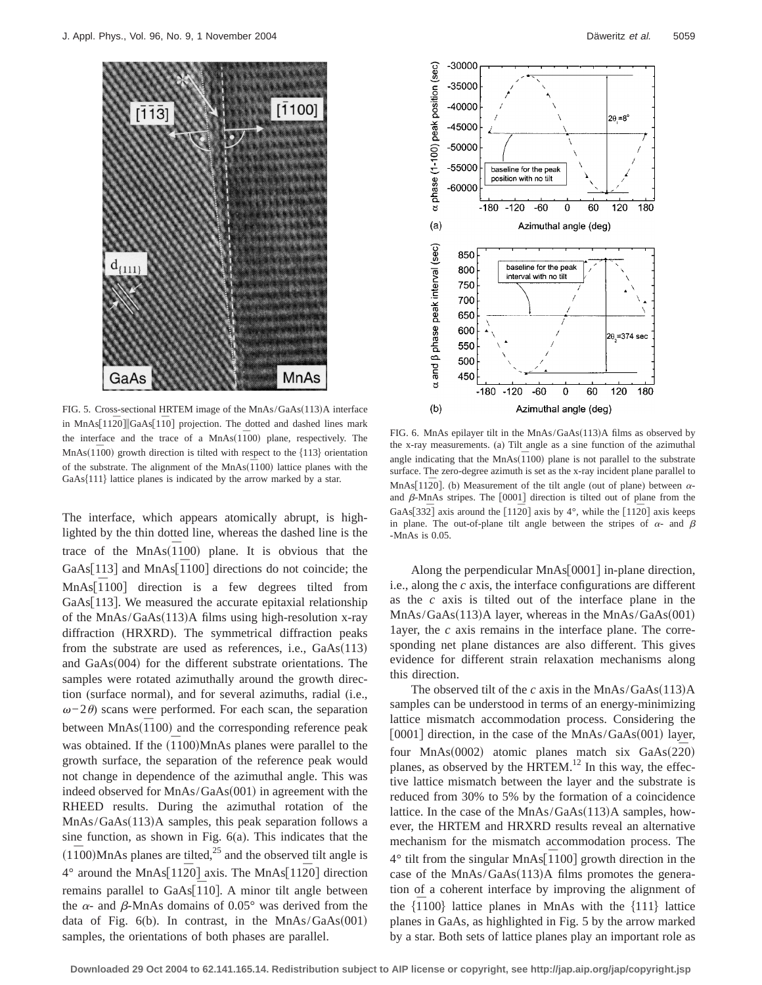

FIG. 5. Cross-sectional HRTEM image of the MnAs/GaAs(113)A interface in MnAs<sup>[1120]</sub>||GaAs<sup>[110]</sup> projection. The dotted and dashed lines mark</sup> the interface and the trace of a  $MnAs(1\bar{1}00)$  plane, respectively. The  $MnAs(1\bar{1}00)$  growth direction is tilted with respect to the  ${113}$  orientation of the substrate. The alignment of the  $MnAs(\overline{1}100)$  lattice planes with the  $GaAs{111}$  lattice planes is indicated by the arrow marked by a star.

The interface, which appears atomically abrupt, is highlighted by the thin dotted line, whereas the dashed line is the trace of the  $MnAs(\overline{1}100)$  plane. It is obvious that the GaAs[113] and MnAs[1100] directions do not coincide; the MnAs<sup>[110</sup>] direction is a few degrees tilted from GaAs[ $113$ ]. We measured the accurate epitaxial relationship of the  $MnAs/GaAs(113)A$  films using high-resolution x-ray diffraction (HRXRD). The symmetrical diffraction peaks from the substrate are used as references, i.e.,  $GaAs(113)$ and  $GaAs(004)$  for the different substrate orientations. The samples were rotated azimuthally around the growth direction (surface normal), and for several azimuths, radial (i.e.,  $\omega$ −2 $\theta$ ) scans were performed. For each scan, the separation between  $MnAs(\overline{1}100)$  and the corresponding reference peak was obtained. If the  $(\overline{1}100)MnAs$  planes were parallel to the growth surface, the separation of the reference peak would not change in dependence of the azimuthal angle. This was indeed observed for  $MnAs/GaAs(001)$  in agreement with the RHEED results. During the azimuthal rotation of the  $MnAs/GaAs(113)A$  samples, this peak separation follows a sine function, as shown in Fig. 6(a). This indicates that the  $(1\bar{1}00)$ MnAs planes are tilted,<sup>25</sup> and the observed tilt angle is 4° around the MnAsf112*¯*0<sup>g</sup> axis. The MnAsf112*¯*0<sup>g</sup> direction **The model of the set of the set of the set of the set of the set of the set of the set of the set of the set of the set of the set of the set of the set of the set of the set of the set of the set of the set of the set of** the  $\alpha$ - and  $\beta$ -MnAs domains of 0.05° was derived from the data of Fig.  $6(b)$ . In contrast, in the MnAs/GaAs $(001)$ samples, the orientations of both phases are parallel.



FIG. 6. MnAs epilayer tilt in the  $MnAs/GaAs(113)A$  films as observed by the x-ray measurements. (a) Tilt angle as a sine function of the azimuthal angle indicating that the  $MnAs(\overline{1}100)$  plane is not parallel to the substrate surface. The zero-degree azimuth is set as the x-ray incident plane parallel to MnAs<sup>[1120]</sup>. (b) Measurement of the tilt angle (out of plane) between  $\alpha$ and  $\beta$ -MnAs stripes. The [0001] direction is tilted out of plane from the GaAs[332<sup> $\overline{2}$ </sup>] axis around the [112<sup> $\overline{2}$ 0] axis by 4°, while the [112<sup> $\overline{2}$ 0] axis keeps</sup></sup> in plane. The out-of-plane tilt angle between the stripes of  $\alpha$ - and  $\beta$ -MnAs is 0.05.

Along the perpendicular MnAs $\vert$ 0001 $\vert$  in-plane direction, i.e., along the *c* axis, the interface configurations are different as the *c* axis is tilted out of the interface plane in the  $MnAs/GaAs(113)A layer, whereas in the MnAs/GaAs(001)$ 1ayer, the *c* axis remains in the interface plane. The corresponding net plane distances are also different. This gives evidence for different strain relaxation mechanisms along this direction.

The observed tilt of the *c* axis in the MnAs/GaAs $(113)$ A samples can be understood in terms of an energy-minimizing lattice mismatch accommodation process. Considering the  $[0001]$  direction, in the case of the MnAs/GaAs $(001)$  layer, four MnAs $(0002)$  atomic planes match six  $GaAs(2\overline{2}0)$ planes, as observed by the HRTEM. $^{12}$  In this way, the effective lattice mismatch between the layer and the substrate is reduced from 30% to 5% by the formation of a coincidence lattice. In the case of the  $MnAs/GaAs(113)A$  samples, however, the HRTEM and HRXRD results reveal an alternative mechanism for the mismatch accommodation process. The <sup>4°</sup> tilt from the singular MnAs<sup>[1100]</sup> growth direction in the case of the  $MnAs/GaAs(113)A$  films promotes the generation of a coherent interface by improving the alignment of the  $\{\overline{1}100\}$  lattice planes in MnAs with the  $\{111\}$  lattice planes in GaAs, as highlighted in Fig. 5 by the arrow marked by a star. Both sets of lattice planes play an important role as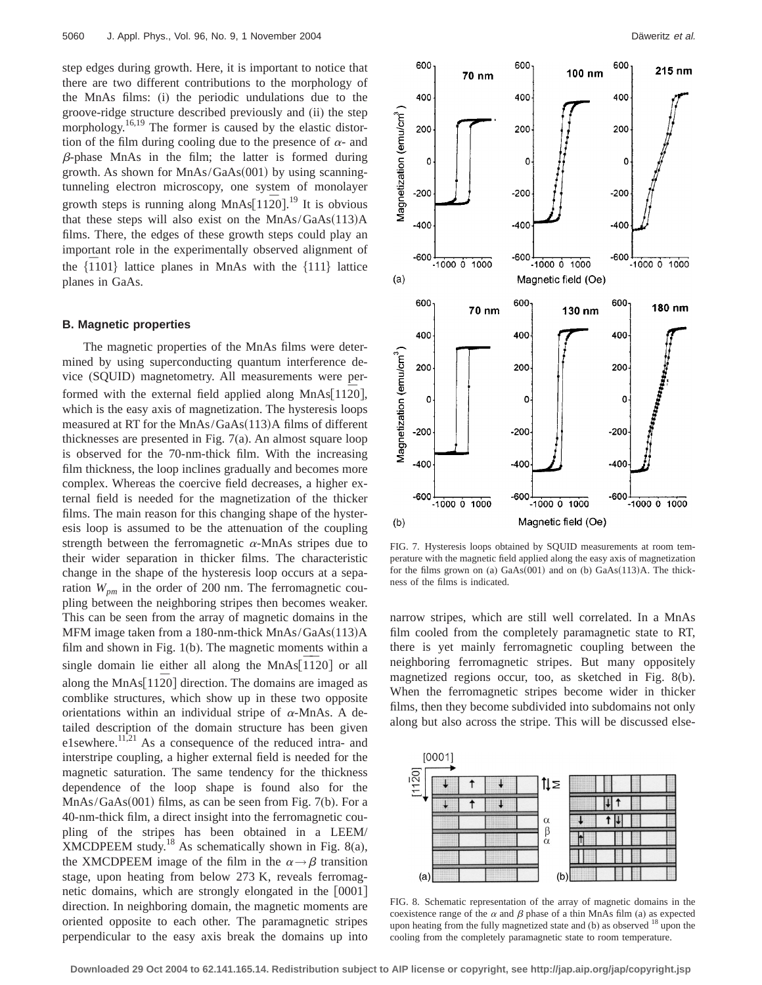step edges during growth. Here, it is important to notice that there are two different contributions to the morphology of the MnAs films: (i) the periodic undulations due to the groove-ridge structure described previously and (ii) the step morphology.<sup>16,19</sup> The former is caused by the elastic distortion of the film during cooling due to the presence of  $\alpha$ - and  $\beta$ -phase MnAs in the film; the latter is formed during growth. As shown for  $MnAs/GaAs(001)$  by using scanningtunneling electron microscopy, one system of monolayer growth steps is running along MnAs $[11\overline{2}0]$ .<sup>19</sup> It is obvious that these steps will also exist on the  $MnAs/GaAs(113)A$ films. There, the edges of these growth steps could play an important role in the experimentally observed alignment of the film that the mean and the entriesting of the summary of the head of the hand the hand the hand the hand the hand the hand the hand the hand the hand the hand the hand the hand the hand the hand the hand the hand the h planes in GaAs.

#### **B. Magnetic properties**

The magnetic properties of the MnAs films were determined by using superconducting quantum interference device (SQUID) magnetometry. All measurements were performed with the external field applied along MnAs<sup>[1120]</sup>, which is the easy axis of magnetization. The hysteresis loops measured at RT for the  $MnAs/GaAs(113)A$  films of different thicknesses are presented in Fig. 7(a). An almost square loop is observed for the 70-nm-thick film. With the increasing film thickness, the loop inclines gradually and becomes more complex. Whereas the coercive field decreases, a higher external field is needed for the magnetization of the thicker films. The main reason for this changing shape of the hysteresis loop is assumed to be the attenuation of the coupling strength between the ferromagnetic  $\alpha$ -MnAs stripes due to their wider separation in thicker films. The characteristic change in the shape of the hysteresis loop occurs at a separation  $W_{pm}$  in the order of 200 nm. The ferromagnetic coupling between the neighboring stripes then becomes weaker. This can be seen from the array of magnetic domains in the MFM image taken from a 180-nm-thick  $MnAs/GaAs(113)A$ film and shown in Fig. 1(b). The magnetic moments within a single domain lie either all along the MnAs $\left[1\overline{1}20\right]$  or all along the MnAs<sup>[1120]</sup> direction. The domains are imaged as comblike structures, which show up in these two opposite orientations within an individual stripe of  $\alpha$ -MnAs. A detailed description of the domain structure has been given e1sewhere.<sup>11,21</sup> As a consequence of the reduced intra- and interstripe coupling, a higher external field is needed for the magnetic saturation. The same tendency for the thickness dependence of the loop shape is found also for the  $MnAs/GaAs(001)$  films, as can be seen from Fig. 7(b). For a 40-nm-thick film, a direct insight into the ferromagnetic coupling of the stripes has been obtained in a LEEM/ XMCDPEEM study.<sup>18</sup> As schematically shown in Fig. 8(a), the XMCDPEEM image of the film in the  $\alpha \rightarrow \beta$  transition stage, upon heating from below 273 K, reveals ferromagnetic domains, which are strongly elongated in the  $[0001]$ direction. In neighboring domain, the magnetic moments are oriented opposite to each other. The paramagnetic stripes perpendicular to the easy axis break the domains up into



FIG. 7. Hysteresis loops obtained by SQUID measurements at room temperature with the magnetic field applied along the easy axis of magnetization for the films grown on (a)  $GaAs(001)$  and on (b)  $GaAs(113)A$ . The thickness of the films is indicated.

narrow stripes, which are still well correlated. In a MnAs film cooled from the completely paramagnetic state to RT, there is yet mainly ferromagnetic coupling between the neighboring ferromagnetic stripes. But many oppositely magnetized regions occur, too, as sketched in Fig. 8(b). When the ferromagnetic stripes become wider in thicker films, then they become subdivided into subdomains not only along but also across the stripe. This will be discussed else-



FIG. 8. Schematic representation of the array of magnetic domains in the coexistence range of the  $\alpha$  and  $\beta$  phase of a thin MnAs film (a) as expected upon heating from the fully magnetized state and  $(b)$  as observed  $18$  upon the cooling from the completely paramagnetic state to room temperature.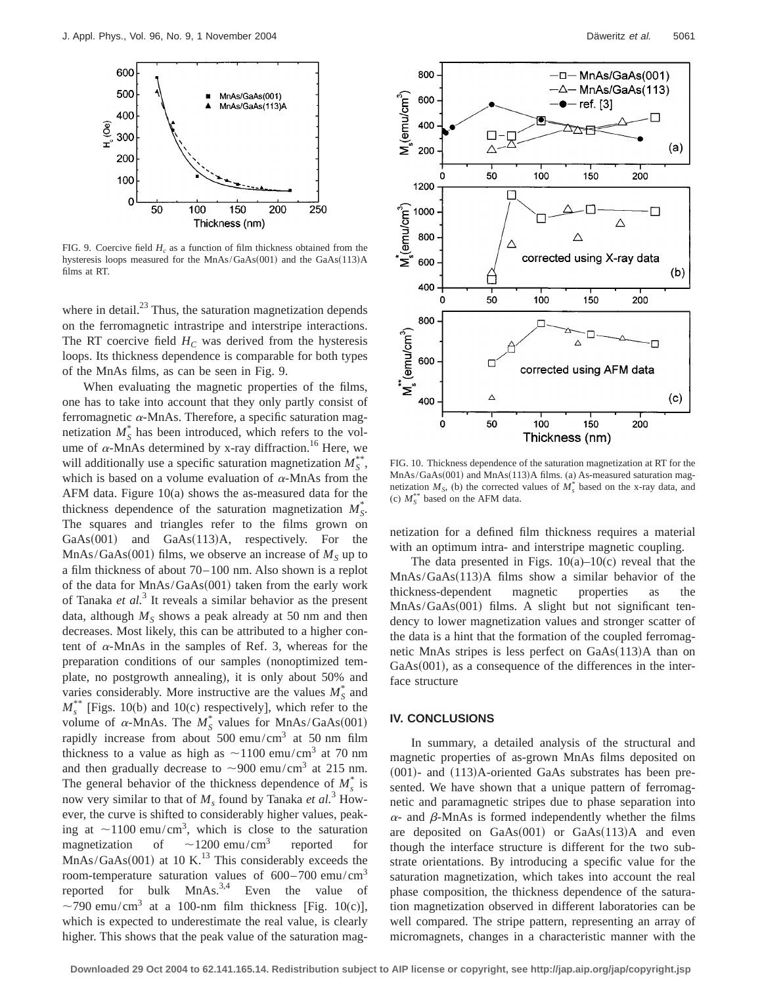

FIG. 9. Coercive field  $H_c$  as a function of film thickness obtained from the hysteresis loops measured for the MnAs/GaAs(001) and the GaAs(113)A films at RT.

where in detail.<sup>23</sup> Thus, the saturation magnetization depends on the ferromagnetic intrastripe and interstripe interactions. The RT coercive field  $H_C$  was derived from the hysteresis loops. Its thickness dependence is comparable for both types of the MnAs films, as can be seen in Fig. 9.

When evaluating the magnetic properties of the films, one has to take into account that they only partly consist of ferromagnetic  $\alpha$ -MnAs. Therefore, a specific saturation magnetization  $M_S^*$  has been introduced, which refers to the volume of  $\alpha$ -MnAs determined by x-ray diffraction.<sup>16</sup> Here, we will additionally use a specific saturation magnetization  $M_S^*$ , which is based on a volume evaluation of  $\alpha$ -MnAs from the AFM data. Figure 10(a) shows the as-measured data for the thickness dependence of the saturation magnetization  $M_S^*$ . The squares and triangles refer to the films grown on GaAs $(001)$  and GaAs $(113)$ A, respectively. For the  $MnAs/GaAs(001)$  films, we observe an increase of  $M<sub>S</sub>$  up to a film thickness of about 70–100 nm. Also shown is a replot of the data for  $MnAs/GaAs(001)$  taken from the early work of Tanaka *et al.*<sup>3</sup> It reveals a similar behavior as the present data, although  $M<sub>S</sub>$  shows a peak already at 50 nm and then decreases. Most likely, this can be attributed to a higher content of  $\alpha$ -MnAs in the samples of Ref. 3, whereas for the preparation conditions of our samples (nonoptimized template, no postgrowth annealing), it is only about 50% and varies considerably. More instructive are the values  $M_S^*$  and  $M_s^{**}$  [Figs. 10(b) and 10(c) respectively], which refer to the volume of  $\alpha$ -MnAs. The  $M_S^*$  values for MnAs/GaAs(001) rapidly increase from about 500 emu/cm<sup>3</sup> at 50 nm film thickness to a value as high as  $\sim$ 1100 emu/cm<sup>3</sup> at 70 nm and then gradually decrease to  $\sim$ 900 emu/cm<sup>3</sup> at 215 nm. The general behavior of the thickness dependence of  $M_s^*$  is now very similar to that of  $M_s$  found by Tanaka *et al.*<sup>3</sup> However, the curve is shifted to considerably higher values, peaking at  $\sim$ 1100 emu/cm<sup>3</sup>, which is close to the saturation magnetization of  $\sim$ 1200 emu/cm<sup>3</sup> reported for  $MnAs/GaAs(001)$  at 10 K.<sup>13</sup> This considerably exceeds the room-temperature saturation values of 600–700 emu/cm3 reported for bulk  $MnAs.<sup>3,4</sup>$  Even the value of  $\sim$ 790 emu/cm<sup>3</sup> at a 100-nm film thickness [Fig. 10(c)], which is expected to underestimate the real value, is clearly higher. This shows that the peak value of the saturation mag-



FIG. 10. Thickness dependence of the saturation magnetization at RT for the  $MnAs/GaAs(001)$  and  $MnAs(113)A films.$  (a) As-measured saturation magnetization  $M<sub>S</sub>$ , (b) the corrected values of  $M<sub>s</sub><sup>*</sup>$  based on the x-ray data, and (c)  $M_S^{**}$  based on the AFM data.

netization for a defined film thickness requires a material with an optimum intra- and interstripe magnetic coupling.

The data presented in Figs.  $10(a)$ – $10(c)$  reveal that the  $MnAs/GaAs(113)A$  films show a similar behavior of the thickness-dependent magnetic properties as the  $MnAs/GaAs(001)$  films. A slight but not significant tendency to lower magnetization values and stronger scatter of the data is a hint that the formation of the coupled ferromagnetic MnAs stripes is less perfect on  $GaAs(113)A$  than on  $GaAs(001)$ , as a consequence of the differences in the interface structure

#### **IV. CONCLUSIONS**

In summary, a detailed analysis of the structural and magnetic properties of as-grown MnAs films deposited on  $(001)$ - and  $(113)$ A-oriented GaAs substrates has been presented. We have shown that a unique pattern of ferromagnetic and paramagnetic stripes due to phase separation into  $\alpha$ - and  $\beta$ -MnAs is formed independently whether the films are deposited on  $GaAs(001)$  or  $GaAs(113)$ A and even though the interface structure is different for the two substrate orientations. By introducing a specific value for the saturation magnetization, which takes into account the real phase composition, the thickness dependence of the saturation magnetization observed in different laboratories can be well compared. The stripe pattern, representing an array of micromagnets, changes in a characteristic manner with the